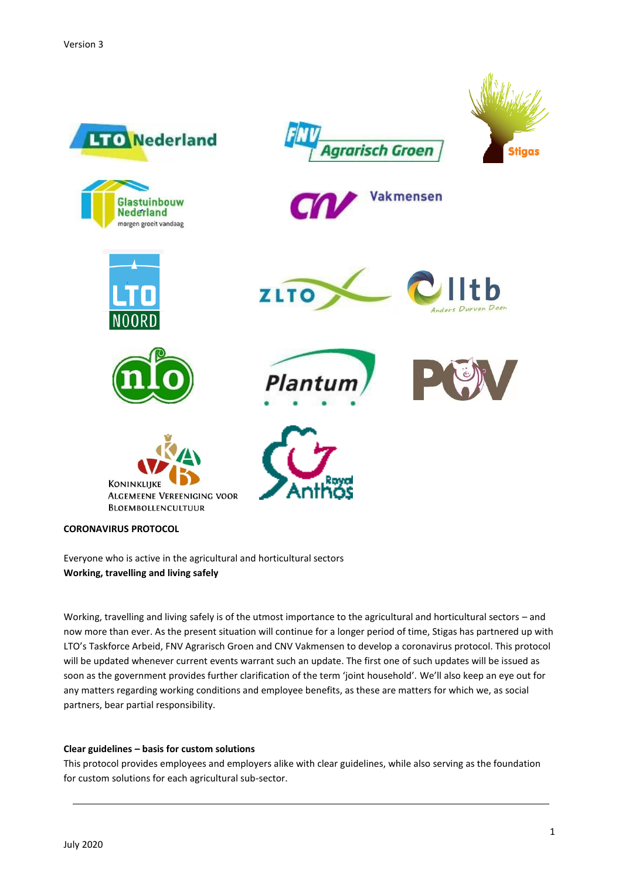

Everyone who is active in the agricultural and horticultural sectors **Working, travelling and living safely**

Working, travelling and living safely is of the utmost importance to the agricultural and horticultural sectors – and now more than ever. As the present situation will continue for a longer period of time, Stigas has partnered up with LTO's Taskforce Arbeid, FNV Agrarisch Groen and CNV Vakmensen to develop a coronavirus protocol. This protocol will be updated whenever current events warrant such an update. The first one of such updates will be issued as soon as the government provides further clarification of the term 'joint household'. We'll also keep an eye out for any matters regarding working conditions and employee benefits, as these are matters for which we, as social partners, bear partial responsibility.

# **Clear guidelines – basis for custom solutions**

This protocol provides employees and employers alike with clear guidelines, while also serving as the foundation for custom solutions for each agricultural sub-sector.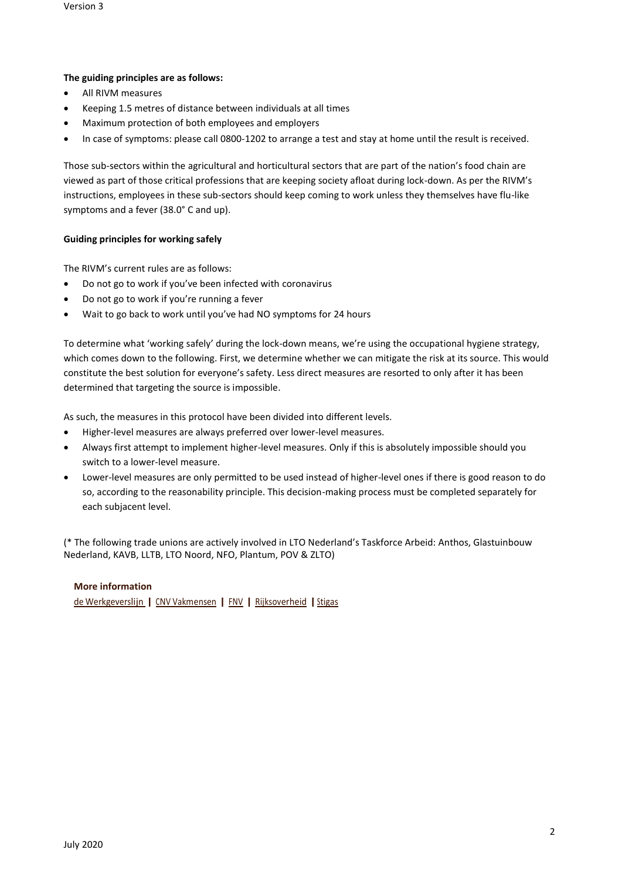## **The guiding principles are as follows:**

- All RIVM measures
- Keeping 1.5 metres of distance between individuals at all times
- Maximum protection of both employees and employers
- In case of symptoms: please call 0800-1202 to arrange a test and stay at home until the result is received.

Those sub-sectors within the agricultural and horticultural sectors that are part of the nation's food chain are viewed as part of those critical professions that are keeping society afloat during lock-down. As per the RIVM's instructions, employees in these sub-sectors should keep coming to work unless they themselves have flu-like symptoms and a fever (38.0° C and up).

# **Guiding principles for working safely**

The RIVM's current rules are as follows:

- Do not go to work if you've been infected with coronavirus
- Do not go to work if you're running a fever
- Wait to go back to work until you've had NO symptoms for 24 hours

To determine what 'working safely' during the lock-down means, we're using the occupational hygiene strategy, which comes down to the following. First, we determine whether we can mitigate the risk at its source. This would constitute the best solution for everyone's safety. Less direct measures are resorted to only after it has been determined that targeting the source is impossible.

As such, the measures in this protocol have been divided into different levels.

- Higher-level measures are always preferred over lower-level measures.
- Always first attempt to implement higher-level measures. Only if this is absolutely impossible should you switch to a lower-level measure.
- Lower-level measures are only permitted to be used instead of higher-level ones if there is good reason to do so, according to the reasonability principle. This decision-making process must be completed separately for each subjacent level.

(\* The following trade unions are actively involved in LTO Nederland's Taskforce Arbeid: Anthos, Glastuinbouw Nederland, KAVB, LLTB, LTO Noord, NFO, Plantum, POV & ZLTO)

## **More information**

de [Werkgeverslijn](https://werkgeverslijn.nl/corona/) | CNV [Vakmensen](https://www.cnvvakmensen.nl/themas/coronavirus) | FNV | [Rijksoverheid](https://www.rijksoverheid.nl/onderwerpen/coronavirus-covid-19/veelgestelde-vragen-per-onderwerp/werkgevers-en-ondernemers) | Stigas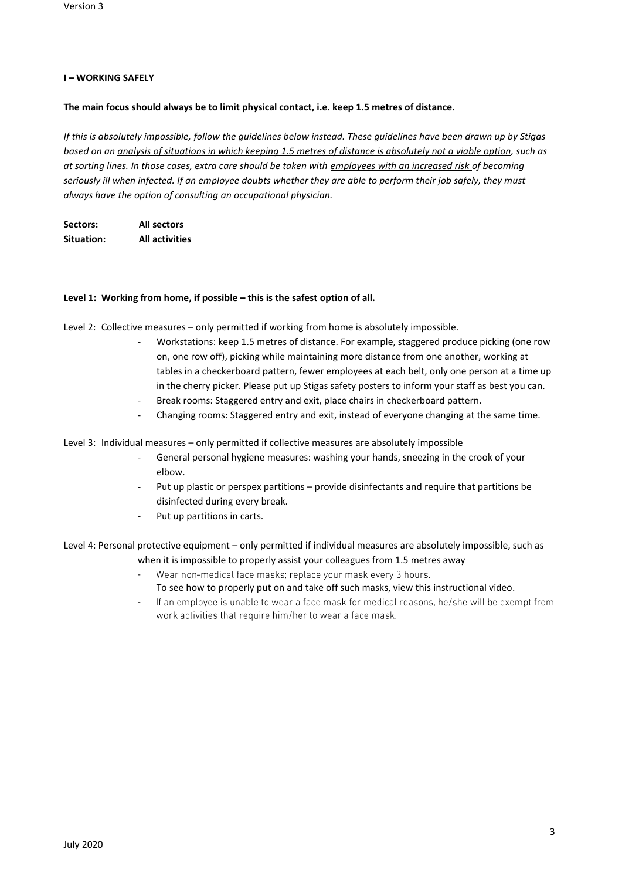# **I – WORKING SAFELY**

## **The main focus should always be to limit physical contact, i.e. keep 1.5 metres of distance.**

*If this is absolutely impossible, follow the guidelines below instead. These guidelines have been drawn up by Stigas based on an analysis of situations in which keeping 1.5 metres of distance is absolutely not a viable option, such as at sorting lines. In those cases, extra care should be taken with employees with an increased risk of becoming seriously ill when infected. If an employee doubts whether they are able to perform their job safely, they must always have the option of consulting an occupational physician.*

| Sectors:   | All sectors           |
|------------|-----------------------|
| Situation: | <b>All activities</b> |

## **Level 1: Working from home, if possible – this is the safest option of all.**

Level 2: Collective measures – only permitted if working from home is absolutely impossible.

- Workstations: keep 1.5 metres of distance. For example, staggered produce picking (one row on, one row off), picking while maintaining more distance from one another, working at tables in a checkerboard pattern, fewer employees at each belt, only one person at a time up in the cherry picker. Please put up Stigas safety posters to inform your staff as best you can.
- Break rooms: Staggered entry and exit, place chairs in checkerboard pattern.
- Changing rooms: Staggered entry and exit, instead of everyone changing at the same time.

Level 3: Individual measures – only permitted if collective measures are absolutely impossible

- General personal hygiene measures: washing your hands, sneezing in the crook of your elbow.
- Put up plastic or perspex partitions provide disinfectants and require that partitions be disinfected during every break.
- Put up partitions in carts.

Level 4: Personal protective equipment – only permitted if individual measures are absolutely impossible, such as when it is impossible to properly assist your colleagues from 1.5 metres away

- Wear non-medical face masks; replace your mask every 3 hours. -
	- To see how to properly put on and take off such masks, view this [instructional video.](https://www.youtube.com/watch?v=OABvzu9e-hw&feature=youtu.be/)
- If an employee is unable to wear a face mask for medical reasons, he/she will be exempt from work activities that require him/her to wear a face mask.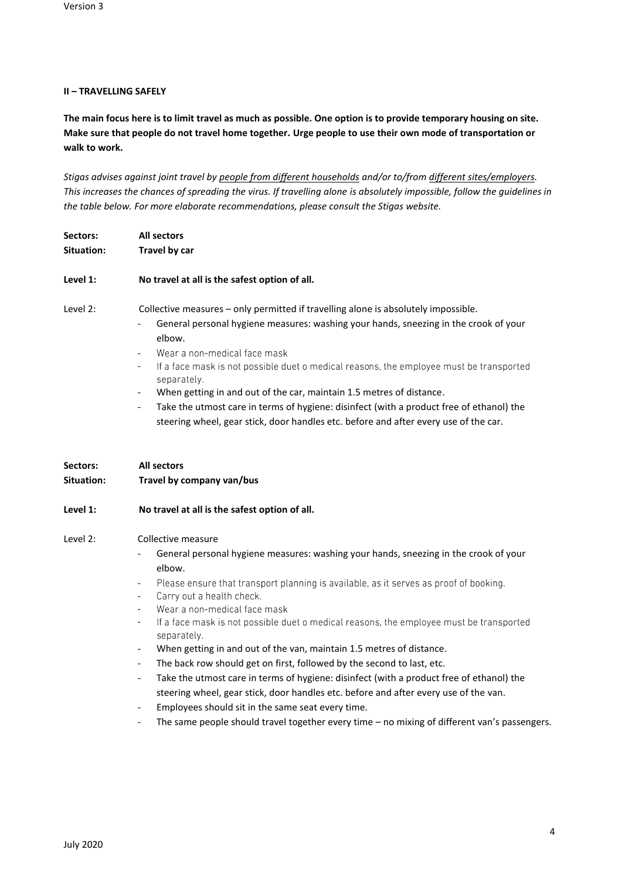# **II – TRAVELLING SAFELY**

**The main focus here is to limit travel as much as possible. One option is to provide temporary housing on site. Make sure that people do not travel home together. Urge people to use their own mode of transportation or walk to work.**

*Stigas advises against joint travel by people from different households and/or to/from different sites/employers. This increases the chances of spreading the virus. If travelling alone is absolutely impossible, follow the guidelines in the table below. For more elaborate recommendations, please consult the Stigas website.*

| Sectors:<br>Situation: | <b>All sectors</b><br>Travel by car                                                                                                                                                                                                                                                                                                                                                                                                                                                                                                                                                                                                                                                                                                                                                                                                                                                                               |
|------------------------|-------------------------------------------------------------------------------------------------------------------------------------------------------------------------------------------------------------------------------------------------------------------------------------------------------------------------------------------------------------------------------------------------------------------------------------------------------------------------------------------------------------------------------------------------------------------------------------------------------------------------------------------------------------------------------------------------------------------------------------------------------------------------------------------------------------------------------------------------------------------------------------------------------------------|
| Level 1:               | No travel at all is the safest option of all.                                                                                                                                                                                                                                                                                                                                                                                                                                                                                                                                                                                                                                                                                                                                                                                                                                                                     |
| Level 2:               | Collective measures - only permitted if travelling alone is absolutely impossible.<br>General personal hygiene measures: washing your hands, sneezing in the crook of your<br>elbow.<br>Wear a non-medical face mask<br>$\overline{\phantom{a}}$<br>If a face mask is not possible duet o medical reasons, the employee must be transported<br>$\overline{\phantom{a}}$<br>separately.<br>When getting in and out of the car, maintain 1.5 metres of distance.<br>$\overline{\phantom{a}}$<br>Take the utmost care in terms of hygiene: disinfect (with a product free of ethanol) the<br>$\overline{\phantom{a}}$<br>steering wheel, gear stick, door handles etc. before and after every use of the car.                                                                                                                                                                                                        |
| Sectors:               | <b>All sectors</b>                                                                                                                                                                                                                                                                                                                                                                                                                                                                                                                                                                                                                                                                                                                                                                                                                                                                                                |
| <b>Situation:</b>      | Travel by company van/bus                                                                                                                                                                                                                                                                                                                                                                                                                                                                                                                                                                                                                                                                                                                                                                                                                                                                                         |
| Level 1:               | No travel at all is the safest option of all.                                                                                                                                                                                                                                                                                                                                                                                                                                                                                                                                                                                                                                                                                                                                                                                                                                                                     |
| Level 2:               | Collective measure<br>General personal hygiene measures: washing your hands, sneezing in the crook of your<br>elbow.<br>Please ensure that transport planning is available, as it serves as proof of booking.<br>Carry out a health check.<br>$\overline{\phantom{a}}$<br>Wear a non-medical face mask<br>$\overline{\phantom{a}}$<br>If a face mask is not possible duet o medical reasons, the employee must be transported<br>$\overline{\phantom{a}}$<br>separately.<br>When getting in and out of the van, maintain 1.5 metres of distance.<br>The back row should get on first, followed by the second to last, etc.<br>$\blacksquare$<br>Take the utmost care in terms of hygiene: disinfect (with a product free of ethanol) the<br>$\overline{\phantom{a}}$<br>steering wheel, gear stick, door handles etc. before and after every use of the van.<br>Employees should sit in the same seat every time. |

- The same people should travel together every time – no mixing of different van's passengers.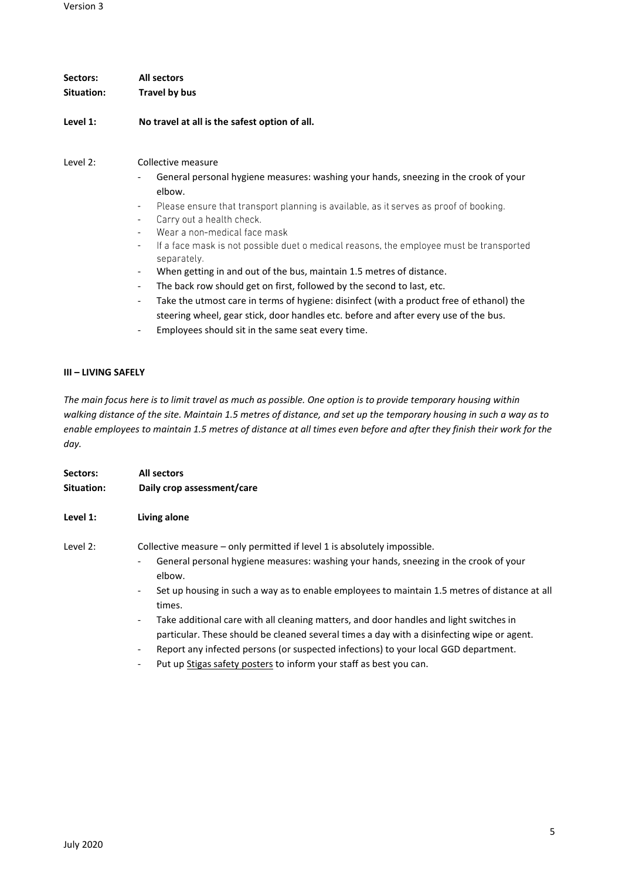| Sectors:<br>Situation: | All sectors<br>Travel by bus                                                                                                                                                                                                                                                                                                                                                                                                                                                                                                                                                                                                                                                                                                                                                                                                                                                                                                                                                                                    |
|------------------------|-----------------------------------------------------------------------------------------------------------------------------------------------------------------------------------------------------------------------------------------------------------------------------------------------------------------------------------------------------------------------------------------------------------------------------------------------------------------------------------------------------------------------------------------------------------------------------------------------------------------------------------------------------------------------------------------------------------------------------------------------------------------------------------------------------------------------------------------------------------------------------------------------------------------------------------------------------------------------------------------------------------------|
| Level 1:               | No travel at all is the safest option of all.                                                                                                                                                                                                                                                                                                                                                                                                                                                                                                                                                                                                                                                                                                                                                                                                                                                                                                                                                                   |
| Level 2:               | Collective measure<br>General personal hygiene measures: washing your hands, sneezing in the crook of your<br>$\overline{\phantom{a}}$<br>elbow.<br>Please ensure that transport planning is available, as it serves as proof of booking.<br>$\overline{\phantom{a}}$<br>Carry out a health check.<br>$\overline{\phantom{a}}$<br>Wear a non-medical face mask<br>If a face mask is not possible duet o medical reasons, the employee must be transported<br>$\overline{\phantom{a}}$<br>separately.<br>When getting in and out of the bus, maintain 1.5 metres of distance.<br>$\overline{\phantom{a}}$<br>The back row should get on first, followed by the second to last, etc.<br>$\overline{\phantom{a}}$<br>Take the utmost care in terms of hygiene: disinfect (with a product free of ethanol) the<br>$\overline{\phantom{a}}$<br>steering wheel, gear stick, door handles etc. before and after every use of the bus.<br>Employees should sit in the same seat every time.<br>$\overline{\phantom{a}}$ |

# **III – LIVING SAFELY**

*The main focus here is to limit travel as much as possible. One option is to provide temporary housing within walking distance of the site. Maintain 1.5 metres of distance, and set up the temporary housing in such a way as to enable employees to maintain 1.5 metres of distance at all times even before and after they finish their work for the day.*

| Sectors:<br>Situation: | <b>All sectors</b><br>Daily crop assessment/care                                                                                                                                                                                                                                                                                              |
|------------------------|-----------------------------------------------------------------------------------------------------------------------------------------------------------------------------------------------------------------------------------------------------------------------------------------------------------------------------------------------|
| Level 1:               | Living alone                                                                                                                                                                                                                                                                                                                                  |
| Level 2:               | Collective measure – only permitted if level 1 is absolutely impossible.<br>General personal hygiene measures: washing your hands, sneezing in the crook of your<br>$\overline{\phantom{0}}$<br>elbow.<br>Set up housing in such a way as to enable employees to maintain 1.5 metres of distance at all<br>$\overline{\phantom{a}}$<br>times. |
|                        | Take additional care with all cleaning matters, and door handles and light switches in<br>$\overline{\phantom{a}}$<br>particular. These should be cleaned several times a day with a disinfecting wipe or agent.<br>Report any infected persons (or suspected infections) to your local GGD department.<br>-                                  |

- Put u[p Stigas safety posters](https://www.stigas.nl/publicaties/poster-coronavirus/) to inform your staff as best you can.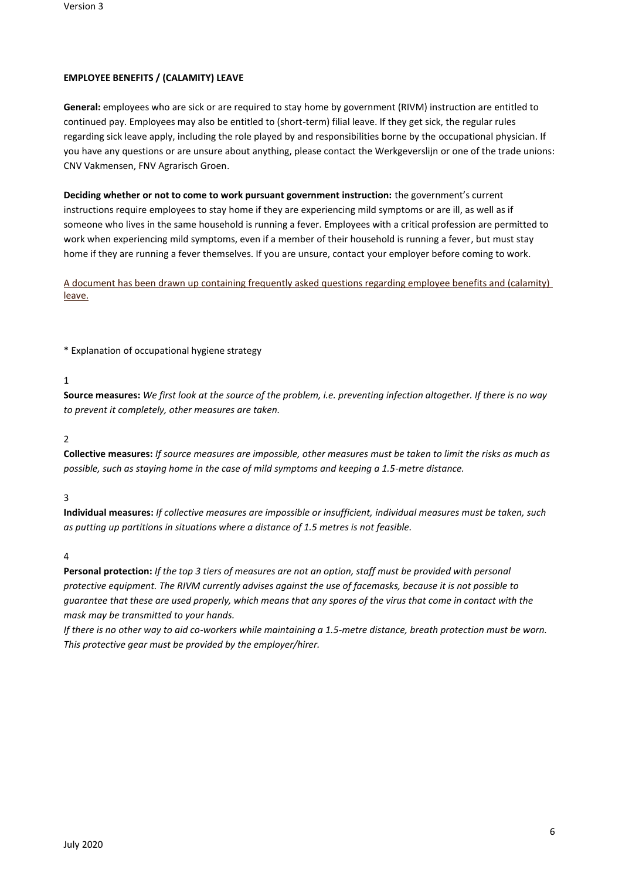# **EMPLOYEE BENEFITS / (CALAMITY) LEAVE**

**General:** employees who are sick or are required to stay home by government (RIVM) instruction are entitled to continued pay. Employees may also be entitled to (short-term) filial leave. If they get sick, the regular rules regarding sick leave apply, including the role played by and responsibilities borne by the occupational physician. If you have any questions or are unsure about anything, please contact the Werkgeverslijn or one of the trade unions: CNV Vakmensen, FNV Agrarisch Groen.

**Deciding whether or not to come to work pursuant government instruction:** the government's current instructions require employees to stay home if they are experiencing mild symptoms or are ill, as well as if someone who lives in the same household is running a fever. Employees with a critical profession are permitted to work when experiencing mild symptoms, even if a member of their household is running a fever, but must stay home if they are running a fever themselves. If you are unsure, contact your employer before coming to work.

A [document has been drawn up containing frequently asked questions regarding employee benefits and \(calamity\)](https://www.stigas.nl/sites/stigas.nl/files/2020-04/arbeidsvoorwaarden_corona.pdf)  [leave.](https://www.stigas.nl/sites/stigas.nl/files/2020-04/arbeidsvoorwaarden_corona.pdf)

\* Explanation of occupational hygiene strategy

1

**Source measures:** *We first look at the source of the problem, i.e. preventing infection altogether. If there is no way to prevent it completely, other measures are taken.*

2

**Collective measures:** *If source measures are impossible, other measures must be taken to limit the risks as much as possible, such as staying home in the case of mild symptoms and keeping a 1.5-metre distance.*

3

**Individual measures:** *If collective measures are impossible or insufficient, individual measures must be taken, such as putting up partitions in situations where a distance of 1.5 metres is not feasible.*

4

**Personal protection:** *If the top 3 tiers of measures are not an option, staff must be provided with personal protective equipment. The RIVM currently advises against the use of facemasks, because it is not possible to guarantee that these are used properly, which means that any spores of the virus that come in contact with the mask may be transmitted to your hands.*

*If there is no other way to aid co-workers while maintaining a 1.5-metre distance, breath protection must be worn. This protective gear must be provided by the employer/hirer.*